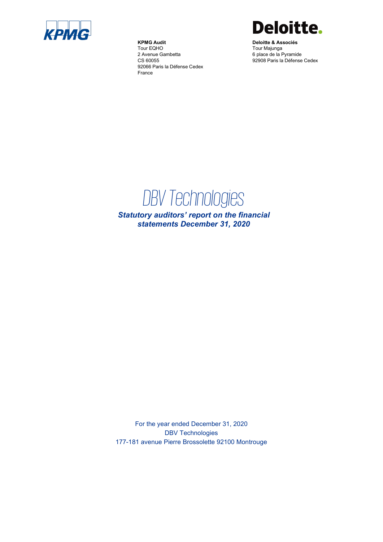

**KPMG Audit** Tour EQHO 2 Avenue Gambetta CS 60055 92066 Paris la Défense Cedex France



**Deloitte & Associés** Tour Majunga 6 place de la Pyramide 92908 Paris la Défense Cedex

# *DBV Technologies*

*Statutory auditors' report on the financial statements December 31, 2020*

For the year ended December 31, 2020 DBV Technologies 177-181 avenue Pierre Brossolette 92100 Montrouge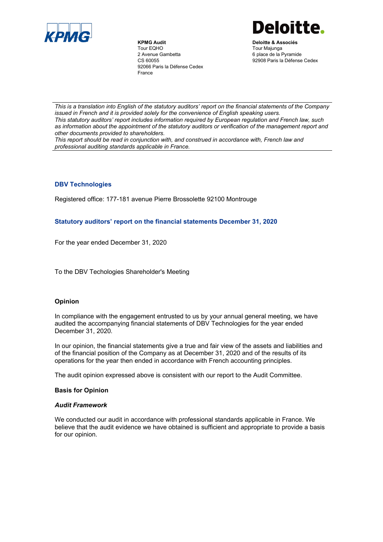

**KPMG Audit** Tour EQHO 2 Avenue Gambetta CS 60055 92066 Paris la Défense Cedex France



**Deloitte & Associés** Tour Majunga 6 place de la Pyramide 92908 Paris la Défense Cedex

*This is a translation into English of the statutory auditors' report on the financial statements of the Company issued in French and it is provided solely for the convenience of English speaking users. This statutory auditors' report includes information required by European regulation and French law, such as information about the appointment of the statutory auditors or verification of the management report and other documents provided to shareholders.*

*This report should be read in conjunction with, and construed in accordance with, French law and professional auditing standards applicable in France.*

## **DBV Technologies**

Registered office: 177-181 avenue Pierre Brossolette 92100 Montrouge

## **Statutory auditors' report on the financial statements December 31, 2020**

For the year ended December 31, 2020

To the DBV Techologies Shareholder's Meeting

## **Opinion**

In compliance with the engagement entrusted to us by your annual general meeting, we have audited the accompanying financial statements of DBV Technologies for the year ended December 31, 2020*.*

In our opinion, the financial statements give a true and fair view of the assets and liabilities and of the financial position of the Company as at December 31, 2020 and of the results of its operations for the year then ended in accordance with French accounting principles.

The audit opinion expressed above is consistent with our report to the Audit Committee.

## **Basis for Opinion**

## *Audit Framework*

We conducted our audit in accordance with professional standards applicable in France. We believe that the audit evidence we have obtained is sufficient and appropriate to provide a basis for our opinion.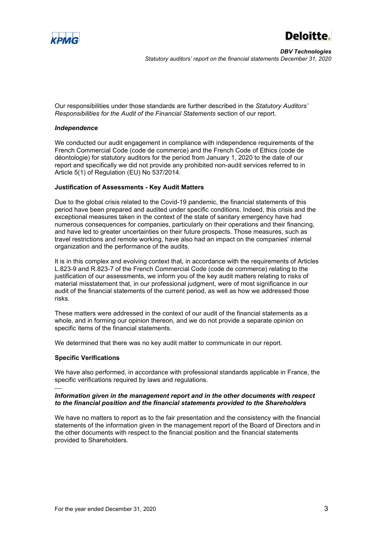



Our responsibilities under those standards are further described in the *Statutory Auditors' Responsibilities for the Audit of the Financial Statements* section of our report.

#### *Independence*

We conducted our audit engagement in compliance with independence requirements of the French Commercial Code (code de commerce) and the French Code of Ethics (code de déontologie) for statutory auditors for the period from January 1, 2020 to the date of our report and specifically we did not provide any prohibited non-audit services referred to in Article 5(1) of Regulation (EU) No 537/2014.

#### **Justification of Assessments - Key Audit Matters**

Due to the global crisis related to the Covid-19 pandemic, the financial statements of this period have been prepared and audited under specific conditions. Indeed, this crisis and the exceptional measures taken in the context of the state of sanitary emergency have had numerous consequences for companies, particularly on their operations and their financing, and have led to greater uncertainties on their future prospects. Those measures, such as travel restrictions and remote working, have also had an impact on the companies' internal organization and the performance of the audits.

It is in this complex and evolving context that, in accordance with the requirements of Articles L.823-9 and R.823-7 of the French Commercial Code (code de commerce) relating to the justification of our assessments, we inform you of the key audit matters relating to risks of material misstatement that, in our professional judgment, were of most significance in our audit of the financial statements of the current period, as well as how we addressed those risks.

These matters were addressed in the context of our audit of the financial statements as a whole, and in forming our opinion thereon, and we do not provide a separate opinion on specific items of the financial statements.

We determined that there was no key audit matter to communicate in our report.

## **Specific Verifications**

We have also performed, in accordance with professional standards applicable in France, the specific verifications required by laws and regulations.

#### e<br>H *Information given in the management report and in the other documents with respect to the financial position and the financial statements provided to the Shareholders*

We have no matters to report as to the fair presentation and the consistency with the financial statements of the information given in the management report of the Board of Directors and in the other documents with respect to the financial position and the financial statements provided to Shareholders.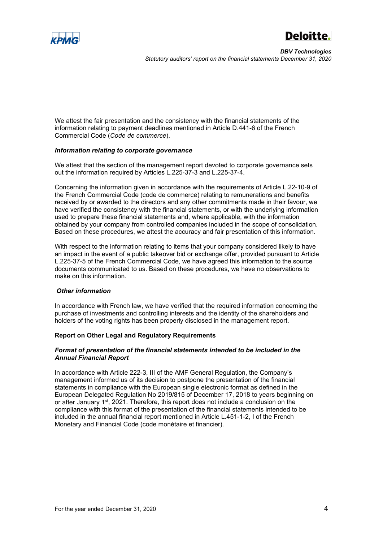

*DBV Technologies Statutory auditors' report on the financial statements December 31, 2020*

We attest the fair presentation and the consistency with the financial statements of the information relating to payment deadlines mentioned in Article D.441-6 of the French Commercial Code (*Code de commerce*).

## *Information relating to corporate governance*

We attest that the section of the management report devoted to corporate governance sets out the information required by Articles L.225-37-3 and L.225-37-4.

Concerning the information given in accordance with the requirements of Article L.22-10-9 of the French Commercial Code (code de commerce) relating to remunerations and benefits received by or awarded to the directors and any other commitments made in their favour, we have verified the consistency with the financial statements, or with the underlying information used to prepare these financial statements and, where applicable, with the information obtained by your company from controlled companies included in the scope of consolidation. Based on these procedures, we attest the accuracy and fair presentation of this information.

With respect to the information relating to items that your company considered likely to have an impact in the event of a public takeover bid or exchange offer, provided pursuant to Article L.225-37-5 of the French Commercial Code, we have agreed this information to the source documents communicated to us. Based on these procedures, we have no observations to make on this information.

#### *Other information*

In accordance with French law, we have verified that the required information concerning the purchase of investments and controlling interests and the identity of the shareholders and holders of the voting rights has been properly disclosed in the management report.

## **Report on Other Legal and Regulatory Requirements**

## *Format of presentation of the financial statements intended to be included in the Annual Financial Report*

In accordance with Article 222-3, III of the AMF General Regulation, the Company's management informed us of its decision to postpone the presentation of the financial statements in compliance with the European single electronic format as defined in the European Delegated Regulation No 2019/815 of December 17, 2018 to years beginning on or after January  $1<sup>st</sup>$ , 2021. Therefore, this report does not include a conclusion on the compliance with this format of the presentation of the financial statements intended to be included in the annual financial report mentioned in Article L.451-1-2, I of the French Monetary and Financial Code (code monétaire et financier).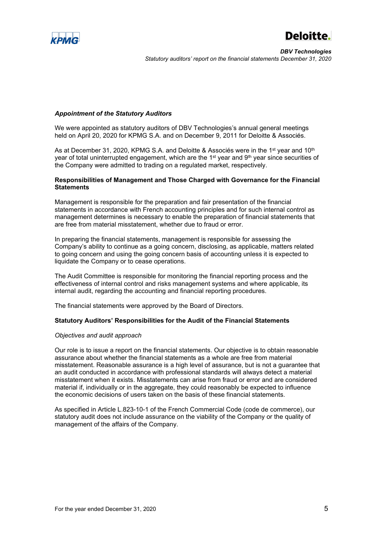



## *Appointment of the Statutory Auditors*

We were appointed as statutory auditors of DBV Technologies's annual general meetings held on April 20, 2020 for KPMG S.A. and on December 9, 2011 for Deloitte & Associés.

As at December 31, 2020, KPMG S.A. and Deloitte & Associés were in the 1<sup>st</sup> year and 10<sup>th</sup> year of total uninterrupted engagement, which are the 1<sup>st</sup> year and 9<sup>th</sup> year since securities of the Company were admitted to trading on a regulated market, respectively.

## **Responsibilities of Management and Those Charged with Governance for the Financial Statements**

Management is responsible for the preparation and fair presentation of the financial statements in accordance with French accounting principles and for such internal control as management determines is necessary to enable the preparation of financial statements that are free from material misstatement, whether due to fraud or error.

In preparing the financial statements, management is responsible for assessing the Company's ability to continue as a going concern, disclosing, as applicable, matters related to going concern and using the going concern basis of accounting unless it is expected to liquidate the Company or to cease operations.

The Audit Committee is responsible for monitoring the financial reporting process and the effectiveness of internal control and risks management systems and where applicable, its internal audit, regarding the accounting and financial reporting procedures.

The financial statements were approved by the Board of Directors.

#### **Statutory Auditors' Responsibilities for the Audit of the Financial Statements**

#### *Objectives and audit approach*

Our role is to issue a report on the financial statements. Our objective is to obtain reasonable assurance about whether the financial statements as a whole are free from material misstatement. Reasonable assurance is a high level of assurance, but is not a guarantee that an audit conducted in accordance with professional standards will always detect a material misstatement when it exists. Misstatements can arise from fraud or error and are considered material if, individually or in the aggregate, they could reasonably be expected to influence the economic decisions of users taken on the basis of these financial statements.

As specified in Article L.823-10-1 of the French Commercial Code (code de commerce), our statutory audit does not include assurance on the viability of the Company or the quality of management of the affairs of the Company.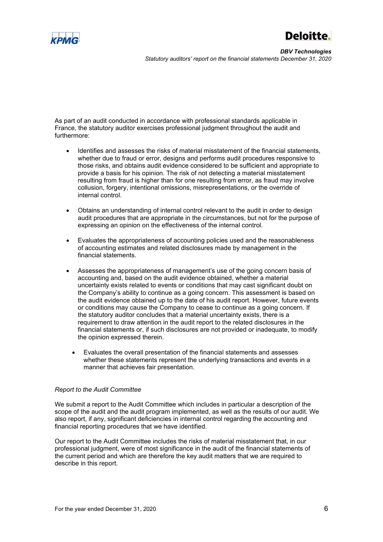

*DBV Technologies Statutory auditors' report on the financial statements December 31, 2020*

As part of an audit conducted in accordance with professional standards applicable in France, the statutory auditor exercises professional judgment throughout the audit and furthermore:

- Identifies and assesses the risks of material misstatement of the financial statements, whether due to fraud or error, designs and performs audit procedures responsive to those risks, and obtains audit evidence considered to be sufficient and appropriate to provide a basis for his opinion. The risk of not detecting a material misstatement resulting from fraud is higher than for one resulting from error, as fraud may involve collusion, forgery, intentional omissions, misrepresentations, or the override of internal control.
- Obtains an understanding of internal control relevant to the audit in order to design audit procedures that are appropriate in the circumstances, but not for the purpose of expressing an opinion on the effectiveness of the internal control.
- Evaluates the appropriateness of accounting policies used and the reasonableness of accounting estimates and related disclosures made by management in the financial statements.
- Assesses the appropriateness of management's use of the going concern basis of accounting and, based on the audit evidence obtained, whether a material uncertainty exists related to events or conditions that may cast significant doubt on the Company's ability to continue as a going concern. This assessment is based on the audit evidence obtained up to the date of his audit report. However, future events or conditions may cause the Company to cease to continue as a going concern. If the statutory auditor concludes that a material uncertainty exists, there is a requirement to draw attention in the audit report to the related disclosures in the financial statements or, if such disclosures are not provided or inadequate, to modify the opinion expressed therein.
	- Evaluates the overall presentation of the financial statements and assesses whether these statements represent the underlying transactions and events in a manner that achieves fair presentation.

## *Report to the Audit Committee*

We submit a report to the Audit Committee which includes in particular a description of the scope of the audit and the audit program implemented, as well as the results of our audit. We also report, if any, significant deficiencies in internal control regarding the accounting and financial reporting procedures that we have identified.

Our report to the Audit Committee includes the risks of material misstatement that, in our professional judgment, were of most significance in the audit of the financial statements of the current period and which are therefore the key audit matters that we are required to describe in this report.